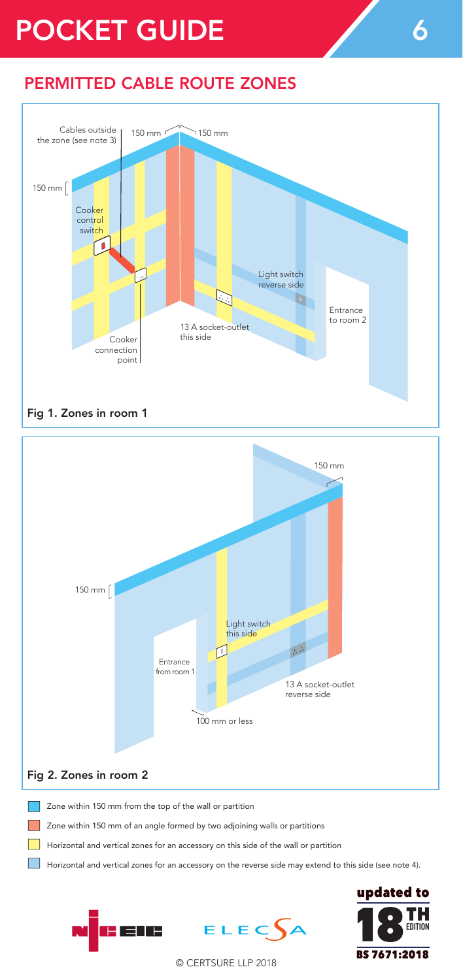## POCKET GUIDE 6

150 mm 150 mm

Cables outside

## PERMITTED CABLE ROUTE ZONES





Zone within 150 mm of an angle formed by two adjoining walls or partitions Zone within 150 mm of an angle formed by two adjoining walls or partitions

i EUB

Horizontal and vertical zones for an accessory on this side of the wall or partition Horizontal and vertical zones for an accessory on this side of the wall or partition

.<br>Horizontal and vertical zones for an accessory on the reverse side may extend to this side (see note 4).

 $ELEC$  $A$ 

TH**EDITION** BS 7671:2018  $\mathbf u$  and vertical  $\mathbf v$  and  $\mathbf v$  and  $\mathbf v$  and  $\mathbf v$  and  $\mathbf v$  and  $\mathbf v$  or  $\mathbf v$  or  $\mathbf v$ Horizontal and vertical zones for an accessory on the reverse side may extend to this side (see note 4).

© CERTSURE LLP 2018